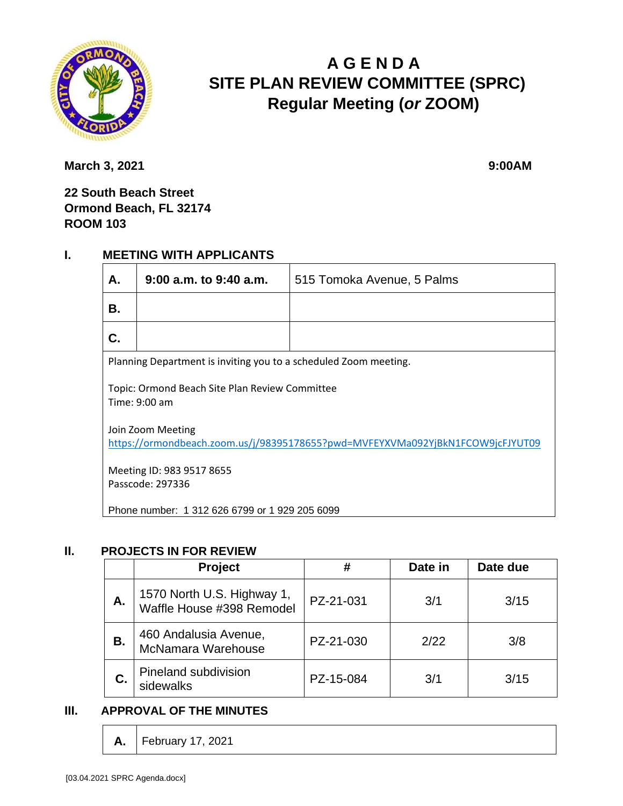

# **A G E N D A SITE PLAN REVIEW COMMITTEE (SPRC) Regular Meeting (***or* **ZOOM)**

**March 3, 2021** 9:00AM

**22 South Beach Street Ormond Beach, FL 32174 ROOM 103**

### **I. MEETING WITH APPLICANTS**

| А.                                                                                                  | $9:00$ a.m. to $9:40$ a.m. | 515 Tomoka Avenue, 5 Palms |  |  |
|-----------------------------------------------------------------------------------------------------|----------------------------|----------------------------|--|--|
| В.                                                                                                  |                            |                            |  |  |
| C.                                                                                                  |                            |                            |  |  |
| Planning Department is inviting you to a scheduled Zoom meeting.                                    |                            |                            |  |  |
| Topic: Ormond Beach Site Plan Review Committee<br>Time: 9:00 am                                     |                            |                            |  |  |
| Join Zoom Meeting<br>https://ormondbeach.zoom.us/j/98395178655?pwd=MVFEYXVMa092YjBkN1FCOW9jcFJYUT09 |                            |                            |  |  |
| Meeting ID: 983 9517 8655<br>Passcode: 297336                                                       |                            |                            |  |  |
| Phone number: 1 312 626 6799 or 1 929 205 6099                                                      |                            |                            |  |  |

### **II. PROJECTS IN FOR REVIEW**

|    | Project                                                 | #         | Date in | Date due |
|----|---------------------------------------------------------|-----------|---------|----------|
| А. | 1570 North U.S. Highway 1,<br>Waffle House #398 Remodel | PZ-21-031 | 3/1     | 3/15     |
| В. | 460 Andalusia Avenue,<br>McNamara Warehouse             | PZ-21-030 | 2/22    | 3/8      |
| С. | Pineland subdivision<br>sidewalks                       | PZ-15-084 | 3/1     | 3/15     |

### **III. APPROVAL OF THE MINUTES**

**A.** February 17, 2021